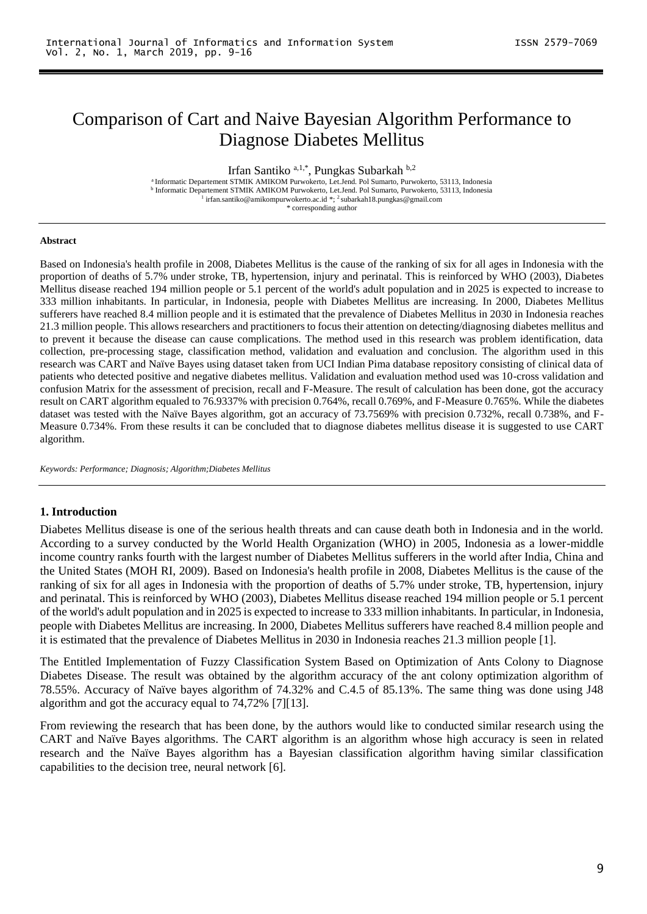# Comparison of Cart and Naive Bayesian Algorithm Performance to Diagnose Diabetes Mellitus

Irfan Santiko <sup>a, 1,\*</sup>, Pungkas Subarkah <sup>b, 2</sup>

<sup>a</sup> Informatic Departement STMIK AMIKOM Purwokerto, Let.Jend. Pol Sumarto, Purwokerto, 53113, Indonesia <sup>b</sup> Informatic Departement STMIK AMIKOM Purwokerto, Let.Jend. Pol Sumarto, Purwokerto, 53113, Indonesia<sup>1</sup> irfan.santiko@amikompurwokerto.ac.id \*; <sup>2</sup>subarkah18.pungkas@gmail.com

\* corresponding author

#### **Abstract**

Based on Indonesia's health profile in 2008, Diabetes Mellitus is the cause of the ranking of six for all ages in Indonesia with the proportion of deaths of 5.7% under stroke, TB, hypertension, injury and perinatal. This is reinforced by WHO (2003), Diabetes Mellitus disease reached 194 million people or 5.1 percent of the world's adult population and in 2025 is expected to increase to 333 million inhabitants. In particular, in Indonesia, people with Diabetes Mellitus are increasing. In 2000, Diabetes Mellitus sufferers have reached 8.4 million people and it is estimated that the prevalence of Diabetes Mellitus in 2030 in Indonesia reaches 21.3 million people. This allows researchers and practitioners to focus their attention on detecting/diagnosing diabetes mellitus and to prevent it because the disease can cause complications. The method used in this research was problem identification, data collection, pre-processing stage, classification method, validation and evaluation and conclusion. The algorithm used in this research was CART and Naïve Bayes using dataset taken from UCI Indian Pima database repository consisting of clinical data of patients who detected positive and negative diabetes mellitus. Validation and evaluation method used was 10-cross validation and confusion Matrix for the assessment of precision, recall and F-Measure. The result of calculation has been done, got the accuracy result on CART algorithm equaled to 76.9337% with precision 0.764%, recall 0.769%, and F-Measure 0.765%. While the diabetes dataset was tested with the Naïve Bayes algorithm, got an accuracy of 73.7569% with precision 0.732%, recall 0.738%, and F-Measure 0.734%. From these results it can be concluded that to diagnose diabetes mellitus disease it is suggested to use CART algorithm.

*Keywords: Performance; Diagnosis; Algorithm;Diabetes Mellitus*

#### **1. Introduction**

Diabetes Mellitus disease is one of the serious health threats and can cause death both in Indonesia and in the world. According to a survey conducted by the World Health Organization (WHO) in 2005, Indonesia as a lower-middle income country ranks fourth with the largest number of Diabetes Mellitus sufferers in the world after India, China and the United States (MOH RI, 2009). Based on Indonesia's health profile in 2008, Diabetes Mellitus is the cause of the ranking of six for all ages in Indonesia with the proportion of deaths of 5.7% under stroke, TB, hypertension, injury and perinatal. This is reinforced by WHO (2003), Diabetes Mellitus disease reached 194 million people or 5.1 percent of the world's adult population and in 2025 is expected to increase to 333 million inhabitants. In particular, in Indonesia, people with Diabetes Mellitus are increasing. In 2000, Diabetes Mellitus sufferers have reached 8.4 million people and it is estimated that the prevalence of Diabetes Mellitus in 2030 in Indonesia reaches 21.3 million people [1].

The Entitled Implementation of Fuzzy Classification System Based on Optimization of Ants Colony to Diagnose Diabetes Disease. The result was obtained by the algorithm accuracy of the ant colony optimization algorithm of 78.55%. Accuracy of Naïve bayes algorithm of 74.32% and C.4.5 of 85.13%. The same thing was done using J48 algorithm and got the accuracy equal to 74,72% [7][13].

From reviewing the research that has been done, by the authors would like to conducted similar research using the CART and Naïve Bayes algorithms. The CART algorithm is an algorithm whose high accuracy is seen in related research and the Naïve Bayes algorithm has a Bayesian classification algorithm having similar classification capabilities to the decision tree, neural network [6].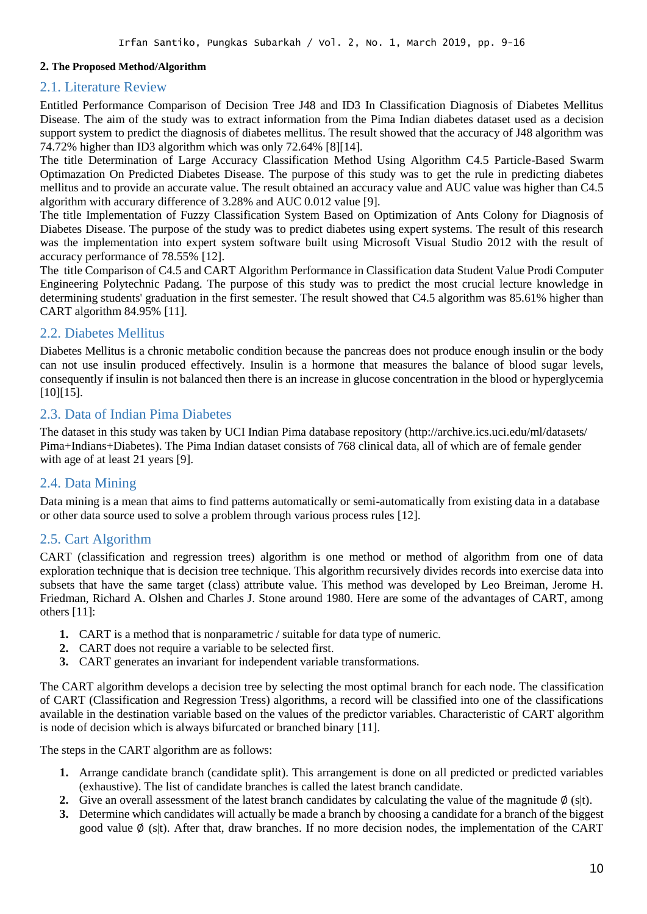#### **2. The Proposed Method/Algorithm**

### 2.1. Literature Review

Entitled Performance Comparison of Decision Tree J48 and ID3 In Classification Diagnosis of Diabetes Mellitus Disease. The aim of the study was to extract information from the Pima Indian diabetes dataset used as a decision support system to predict the diagnosis of diabetes mellitus. The result showed that the accuracy of J48 algorithm was 74.72% higher than ID3 algorithm which was only 72.64% [8][14].

The title Determination of Large Accuracy Classification Method Using Algorithm C4.5 Particle-Based Swarm Optimazation On Predicted Diabetes Disease. The purpose of this study was to get the rule in predicting diabetes mellitus and to provide an accurate value. The result obtained an accuracy value and AUC value was higher than C4.5 algorithm with accurary difference of 3.28% and AUC 0.012 value [9].

The title Implementation of Fuzzy Classification System Based on Optimization of Ants Colony for Diagnosis of Diabetes Disease. The purpose of the study was to predict diabetes using expert systems. The result of this research was the implementation into expert system software built using Microsoft Visual Studio 2012 with the result of accuracy performance of 78.55% [12].

The title Comparison of C4.5 and CART Algorithm Performance in Classification data Student Value Prodi Computer Engineering Polytechnic Padang. The purpose of this study was to predict the most crucial lecture knowledge in determining students' graduation in the first semester. The result showed that C4.5 algorithm was 85.61% higher than CART algorithm 84.95% [11].

# 2.2. Diabetes Mellitus

Diabetes Mellitus is a chronic metabolic condition because the pancreas does not produce enough insulin or the body can not use insulin produced effectively. Insulin is a hormone that measures the balance of blood sugar levels, consequently if insulin is not balanced then there is an increase in glucose concentration in the blood or hyperglycemia [10][15].

# 2.3. Data of Indian Pima Diabetes

The dataset in this study was taken by UCI Indian Pima database repository [\(http://archive.ics.uci.edu/ml/d](http://archive.ics.uci.edu/ml/)atasets/ Pima+Indians+Diabetes). The Pima Indian dataset consists of 768 clinical data, all of which are of female gender with age of at least 21 years [9].

# 2.4. Data Mining

Data mining is a mean that aims to find patterns automatically or semi-automatically from existing data in a database or other data source used to solve a problem through various process rules [12].

#### 2.5. Cart Algorithm

CART (classification and regression trees) algorithm is one method or method of algorithm from one of data exploration technique that is decision tree technique. This algorithm recursively divides records into exercise data into subsets that have the same target (class) attribute value. This method was developed by Leo Breiman, Jerome H. Friedman, Richard A. Olshen and Charles J. Stone around 1980. Here are some of the advantages of CART, among others [11]:

- **1.** CART is a method that is nonparametric / suitable for data type of numeric.
- **2.** CART does not require a variable to be selected first.
- **3.** CART generates an invariant for independent variable transformations.

The CART algorithm develops a decision tree by selecting the most optimal branch for each node. The classification of CART (Classification and Regression Tress) algorithms, a record will be classified into one of the classifications available in the destination variable based on the values of the predictor variables. Characteristic of CART algorithm is node of decision which is always bifurcated or branched binary [11].

The steps in the CART algorithm are as follows:

- **1.** Arrange candidate branch (candidate split). This arrangement is done on all predicted or predicted variables (exhaustive). The list of candidate branches is called the latest branch candidate.
- **2.** Give an overall assessment of the latest branch candidates by calculating the value of the magnitude  $\varphi$  (s|t).
- **3.** Determine which candidates will actually be made a branch by choosing a candidate for a branch of the biggest good value ∅ (s|t). After that, draw branches. If no more decision nodes, the implementation of the CART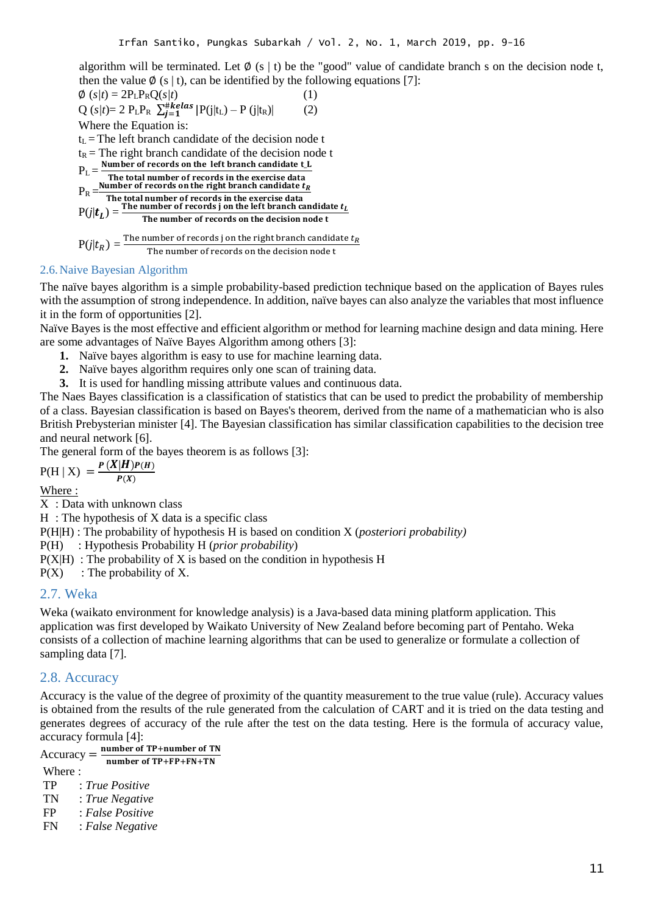algorithm will be terminated. Let  $\emptyset$  (s | t) be the "good" value of candidate branch s on the decision node t, then the value Ø (s | t), can be identified by the following equations [7]:

$$
\phi(s/t) = 2P_{L}P_{R}Q(s/t)
$$
\n(1)  
\nQ(s/t)= 2 P\_{L}P\_{R} \sum\_{j=1}^{#kelas} |P(j|t\_{L}) - P(j|t\_{R})| (2)  
\nWhere the Equation is:  
\nt<sub>L</sub> = The left branch candidate of the decision node t  
\nt<sub>R</sub> = The right branch candidate of the decision node t  
\nP<sub>L</sub> =  $\frac{Number\ of\ records\ on\ the\ left\ branch\ candidate\ t_{L}}{The\ total\ number\ of\ records\ in\ the\ exercise\ data}$   
\nP<sub>R</sub> =  $\frac{Number\ of\ records\ in\ the\ series\ data}{The\ total\ number\ of\ records\ in\ the\ left\ branch\ candidate\ t_{L}}$   
\nP(j|t<sub>L</sub>) =  $\frac{The\ number\ of\ records\ in\ the\ definition\ node\ t}{The\ number\ of\ records\ on\ the\ decision\ node\ t}$   
\nP(j|t<sub>R</sub>) =  $\frac{The\ number\ of\ records\ j\ on\ the\ right\ branch\ candidate\ t_{R}}{The\ number\ of\ records\ on\ the\ decision\ node\ t}$ 

### 2.6.Naive Bayesian Algorithm

The naïve bayes algorithm is a simple probability-based prediction technique based on the application of Bayes rules with the assumption of strong independence. In addition, naïve bayes can also analyze the variables that most influence it in the form of opportunities [2].

Naïve Bayes is the most effective and efficient algorithm or method for learning machine design and data mining. Here are some advantages of Naïve Bayes Algorithm among others [3]:

- **1.** Naïve bayes algorithm is easy to use for machine learning data.
- **2.** Naïve bayes algorithm requires only one scan of training data.
- **3.** It is used for handling missing attribute values and continuous data.

The Naes Bayes classification is a classification of statistics that can be used to predict the probability of membership of a class. Bayesian classification is based on Bayes's theorem, derived from the name of a mathematician who is also British Prebysterian minister [4]. The Bayesian classification has similar classification capabilities to the decision tree and neural network [6].

The general form of the bayes theorem is as follows [3]:

 $P(H | X) = \frac{P(X|H)P(H)}{P(X)}$  $\frac{(\mathbf{H})\mathbf{F}(\mathbf{H})}{\mathbf{P}(X)}$ 

Where :

X : Data with unknown class

H : The hypothesis of X data is a specific class

P(H|H) : The probability of hypothesis H is based on condition X (*posteriori probability)* 

P(H) : Hypothesis Probability H (*prior probability*)

 $P(X|H)$ : The probability of X is based on the condition in hypothesis H

 $P(X)$ : The probability of X.

# 2.7. Weka

Weka (waikato environment for knowledge analysis) is a Java-based data mining platform application. This application was first developed by Waikato University of New Zealand before becoming part of Pentaho. Weka consists of a collection of machine learning algorithms that can be used to generalize or formulate a collection of sampling data [7].

# 2.8. Accuracy

Accuracy is the value of the degree of proximity of the quantity measurement to the true value (rule). Accuracy values is obtained from the results of the rule generated from the calculation of CART and it is tried on the data testing and generates degrees of accuracy of the rule after the test on the data testing. Here is the formula of accuracy value, accuracy formula [4]:

 $\text{Accuracy} = \frac{\text{number of TP} + \text{number of TN}}{\text{number of TP} + \text{FN} + \text{FN} + \text{FN}}$ number of TP+FP+FN+TN

Where  $\cdot$ 

- TP : *True Positive*
- TN : *True Negative*
- FP : *False Positive*
- FN : *False Negative*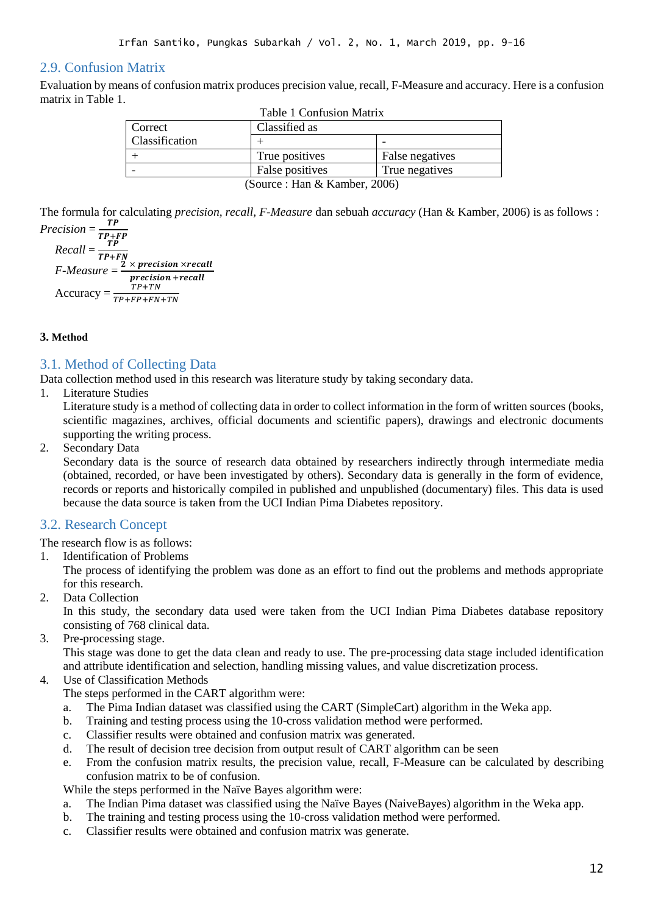# 2.9. Confusion Matrix

Evaluation by means of confusion matrix produces precision value, recall, F-Measure and accuracy. Here is a confusion matrix in Table 1.

| <b>Table 1 Confusion Matrix</b> |                 |                 |  |  |
|---------------------------------|-----------------|-----------------|--|--|
| Correct                         | Classified as   |                 |  |  |
| Classification                  |                 |                 |  |  |
|                                 | True positives  | False negatives |  |  |
|                                 | False positives | True negatives  |  |  |
| (Source: Han & Kamber, 2006)    |                 |                 |  |  |

The formula for calculating *precision, recall, F-Measure* dan sebuah *accuracy* (Han & Kamber, 2006) is as follows : *Precision* = TP

$$
Precision = \frac{TP}{TP+FP}
$$
  
Recall =  $\frac{TP}{TP+FN}$   
F-Measure =  $\frac{2 \times precision \times recall}{precision + recall}$   
Accuracy =  $\frac{TP+TN}{TP+FP+FN+TN}$ 

# **3. Method**

# 3.1. Method of Collecting Data

Data collection method used in this research was literature study by taking secondary data.

1. Literature Studies

Literature study is a method of collecting data in order to collect information in the form of written sources (books, scientific magazines, archives, official documents and scientific papers), drawings and electronic documents supporting the writing process.

2. Secondary Data

Secondary data is the source of research data obtained by researchers indirectly through intermediate media (obtained, recorded, or have been investigated by others). Secondary data is generally in the form of evidence, records or reports and historically compiled in published and unpublished (documentary) files. This data is used because the data source is taken from the UCI Indian Pima Diabetes repository.

# 3.2. Research Concept

The research flow is as follows:

1. Identification of Problems

The process of identifying the problem was done as an effort to find out the problems and methods appropriate for this research.

2. Data Collection

In this study, the secondary data used were taken from the UCI Indian Pima Diabetes database repository consisting of 768 clinical data.

- 3. Pre-processing stage. This stage was done to get the data clean and ready to use. The pre-processing data stage included identification
	- and attribute identification and selection, handling missing values, and value discretization process.
- 4. Use of Classification Methods

The steps performed in the CART algorithm were:

- a. The Pima Indian dataset was classified using the CART (SimpleCart) algorithm in the Weka app.
- b. Training and testing process using the 10-cross validation method were performed.
- c. Classifier results were obtained and confusion matrix was generated.
- d. The result of decision tree decision from output result of CART algorithm can be seen
- e. From the confusion matrix results, the precision value, recall, F-Measure can be calculated by describing confusion matrix to be of confusion.

While the steps performed in the Naïve Bayes algorithm were:

- a. The Indian Pima dataset was classified using the Naïve Bayes (NaiveBayes) algorithm in the Weka app.
- b. The training and testing process using the 10-cross validation method were performed.
- c. Classifier results were obtained and confusion matrix was generate.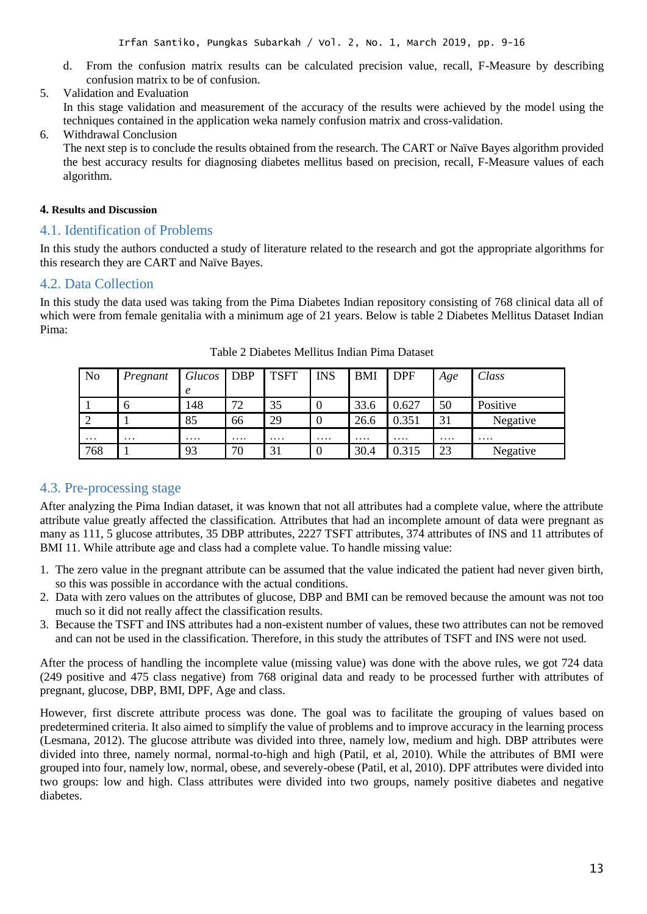- d. From the confusion matrix results can be calculated precision value, recall, F-Measure by describing confusion matrix to be of confusion.
- 5. Validation and Evaluation

In this stage validation and measurement of the accuracy of the results were achieved by the model using the techniques contained in the application weka namely confusion matrix and cross-validation.

6. Withdrawal Conclusion

The next step is to conclude the results obtained from the research. The CART or Naïve Bayes algorithm provided the best accuracy results for diagnosing diabetes mellitus based on precision, recall, F-Measure values of each algorithm.

#### **4. Results and Discussion**

# 4.1. Identification of Problems

In this study the authors conducted a study of literature related to the research and got the appropriate algorithms for this research they are CART and Naïve Bayes.

# 4.2. Data Collection

In this study the data used was taking from the Pima Diabetes Indian repository consisting of 768 clinical data all of which were from female genitalia with a minimum age of 21 years. Below is table 2 Diabetes Mellitus Dataset Indian Pima:

| <b>No</b>      | Pregnant          | Glucos | <b>DBP</b> | <b>TSFT</b> | <b>INS</b> | <b>BMI</b> | <b>DPF</b> | Age      | Class    |
|----------------|-------------------|--------|------------|-------------|------------|------------|------------|----------|----------|
|                |                   | e      |            |             |            |            |            |          |          |
|                | $\mathfrak b$     | 148    | 72         | 35          | 0          | 33.6       | 0.627      | 50       | Positive |
| $\overline{2}$ |                   | 85     | 66         | 29          | v          | 26.6       | 0.351      | 31       | Negative |
| $\cdots$       | $\cdot\cdot\cdot$ | .      | $\cdots$   | .           | .          | .          | $\cdots$   | $\cdots$ | .        |
| 768            |                   | 93     | 70         | 31          | U          | 30.4       | 0.315      | 23       | Negative |

Table 2 Diabetes Mellitus Indian Pima Dataset

# 4.3. Pre-processing stage

After analyzing the Pima Indian dataset, it was known that not all attributes had a complete value, where the attribute attribute value greatly affected the classification. Attributes that had an incomplete amount of data were pregnant as many as 111, 5 glucose attributes, 35 DBP attributes, 2227 TSFT attributes, 374 attributes of INS and 11 attributes of BMI 11. While attribute age and class had a complete value. To handle missing value:

- 1. The zero value in the pregnant attribute can be assumed that the value indicated the patient had never given birth, so this was possible in accordance with the actual conditions.
- 2. Data with zero values on the attributes of glucose, DBP and BMI can be removed because the amount was not too much so it did not really affect the classification results.
- 3. Because the TSFT and INS attributes had a non-existent number of values, these two attributes can not be removed and can not be used in the classification. Therefore, in this study the attributes of TSFT and INS were not used.

After the process of handling the incomplete value (missing value) was done with the above rules, we got 724 data (249 positive and 475 class negative) from 768 original data and ready to be processed further with attributes of pregnant, glucose, DBP, BMI, DPF, Age and class.

However, first discrete attribute process was done. The goal was to facilitate the grouping of values based on predetermined criteria. It also aimed to simplify the value of problems and to improve accuracy in the learning process (Lesmana, 2012). The glucose attribute was divided into three, namely low, medium and high. DBP attributes were divided into three, namely normal, normal-to-high and high (Patil, et al, 2010). While the attributes of BMI were grouped into four, namely low, normal, obese, and severely-obese (Patil, et al, 2010). DPF attributes were divided into two groups: low and high. Class attributes were divided into two groups, namely positive diabetes and negative diabetes.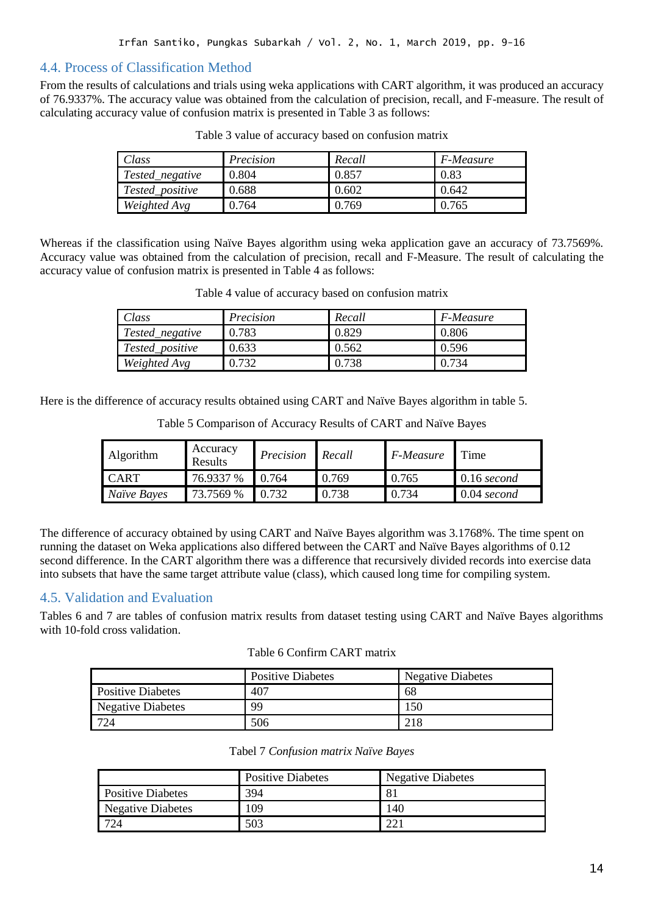# 4.4. Process of Classification Method

From the results of calculations and trials using weka applications with CART algorithm, it was produced an accuracy of 76.9337%. The accuracy value was obtained from the calculation of precision, recall, and F-measure. The result of calculating accuracy value of confusion matrix is presented in Table 3 as follows:

| Class                  | Precision | Recall | F-Measure |
|------------------------|-----------|--------|-----------|
| Tested_negative        | 0.804     | 0.857  | 0.83      |
| <i>Tested_positive</i> | 0.688     | 0.602  | 0.642     |
| Weighted Avg           | 0.764     | 0.769  | 0.765     |

Table 3 value of accuracy based on confusion matrix

Whereas if the classification using Naïve Bayes algorithm using weka application gave an accuracy of 73.7569%. Accuracy value was obtained from the calculation of precision, recall and F-Measure. The result of calculating the accuracy value of confusion matrix is presented in Table 4 as follows:

| Class           | Precision | Recall | $F$ -Measure |
|-----------------|-----------|--------|--------------|
| Tested_negative | 0.783     | 0.829  | 0.806        |
| Tested_positive | 0.633     | 0.562  | 0.596        |
| Weighted Avg    | 0.732     | 0.738  | 0.734        |

Table 4 value of accuracy based on confusion matrix

Here is the difference of accuracy results obtained using CART and Naïve Bayes algorithm in table 5.

| Algorithm   | Accuracy<br><b>Results</b> | Precision | Recall | F-Measure | Time          |
|-------------|----------------------------|-----------|--------|-----------|---------------|
| <b>CART</b> | 76.9337 %                  | 764       | 0.769  | 0.765     | $0.16$ second |
| Naïve Bayes | 73.7569 %                  | 0.732     | 0.738  | 0.734     | 0.04 second   |

Table 5 Comparison of Accuracy Results of CART and Naïve Bayes

The difference of accuracy obtained by using CART and Naïve Bayes algorithm was 3.1768%. The time spent on running the dataset on Weka applications also differed between the CART and Naïve Bayes algorithms of 0.12 second difference. In the CART algorithm there was a difference that recursively divided records into exercise data into subsets that have the same target attribute value (class), which caused long time for compiling system.

# 4.5. Validation and Evaluation

Tables 6 and 7 are tables of confusion matrix results from dataset testing using CART and Naïve Bayes algorithms with 10-fold cross validation.

### Table 6 Confirm CART matrix

|                          | <b>Positive Diabetes</b> | <b>Negative Diabetes</b> |
|--------------------------|--------------------------|--------------------------|
| <b>Positive Diabetes</b> | 407                      | 68                       |
| Negative Diabetes        | 99                       | 150                      |
|                          | 506                      | 218                      |

|  |  | Tabel 7 Confusion matrix Naïve Bayes |  |
|--|--|--------------------------------------|--|
|--|--|--------------------------------------|--|

|                          | <b>Positive Diabetes</b> | <b>Negative Diabetes</b> |
|--------------------------|--------------------------|--------------------------|
| <b>Positive Diabetes</b> | 394                      | 81                       |
| <b>Negative Diabetes</b> | 109                      | 140                      |
| $72\pi$                  | 503                      | ി                        |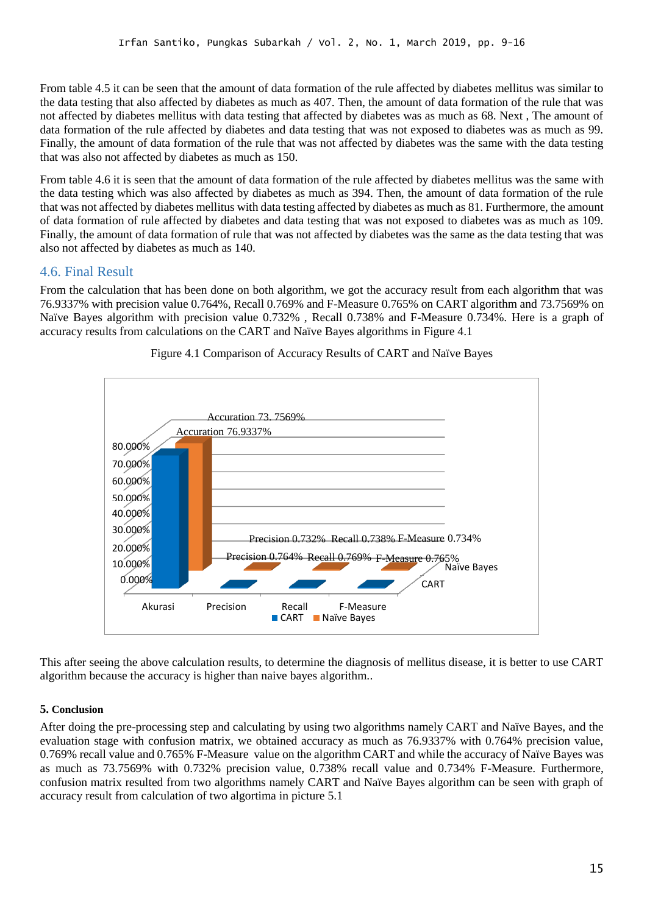From table 4.5 it can be seen that the amount of data formation of the rule affected by diabetes mellitus was similar to the data testing that also affected by diabetes as much as 407. Then, the amount of data formation of the rule that was not affected by diabetes mellitus with data testing that affected by diabetes was as much as 68. Next , The amount of data formation of the rule affected by diabetes and data testing that was not exposed to diabetes was as much as 99. Finally, the amount of data formation of the rule that was not affected by diabetes was the same with the data testing that was also not affected by diabetes as much as 150.

From table 4.6 it is seen that the amount of data formation of the rule affected by diabetes mellitus was the same with the data testing which was also affected by diabetes as much as 394. Then, the amount of data formation of the rule that was not affected by diabetes mellitus with data testing affected by diabetes as much as 81. Furthermore, the amount of data formation of rule affected by diabetes and data testing that was not exposed to diabetes was as much as 109. Finally, the amount of data formation of rule that was not affected by diabetes was the same as the data testing that was also not affected by diabetes as much as 140.

# 4.6. Final Result

From the calculation that has been done on both algorithm, we got the accuracy result from each algorithm that was 76.9337% with precision value 0.764%, Recall 0.769% and F-Measure 0.765% on CART algorithm and 73.7569% on Naïve Bayes algorithm with precision value 0.732% , Recall 0.738% and F-Measure 0.734%. Here is a graph of accuracy results from calculations on the CART and Naïve Bayes algorithms in Figure 4.1



Figure 4.1 Comparison of Accuracy Results of CART and Naïve Bayes

This after seeing the above calculation results, to determine the diagnosis of mellitus disease, it is better to use CART algorithm because the accuracy is higher than naive bayes algorithm..

#### **5. Conclusion**

After doing the pre-processing step and calculating by using two algorithms namely CART and Naïve Bayes, and the evaluation stage with confusion matrix, we obtained accuracy as much as 76.9337% with 0.764% precision value, 0.769% recall value and 0.765% F-Measure value on the algorithm CART and while the accuracy of Naïve Bayes was as much as 73.7569% with 0.732% precision value, 0.738% recall value and 0.734% F-Measure. Furthermore, confusion matrix resulted from two algorithms namely CART and Naïve Bayes algorithm can be seen with graph of accuracy result from calculation of two algortima in picture 5.1